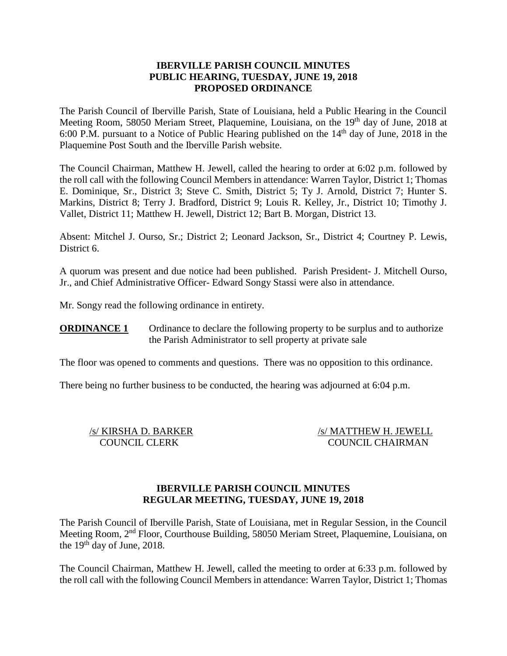## **IBERVILLE PARISH COUNCIL MINUTES PUBLIC HEARING, TUESDAY, JUNE 19, 2018 PROPOSED ORDINANCE**

The Parish Council of Iberville Parish, State of Louisiana, held a Public Hearing in the Council Meeting Room, 58050 Meriam Street, Plaquemine, Louisiana, on the 19<sup>th</sup> day of June, 2018 at 6:00 P.M. pursuant to a Notice of Public Hearing published on the  $14<sup>th</sup>$  day of June, 2018 in the Plaquemine Post South and the Iberville Parish website.

The Council Chairman, Matthew H. Jewell, called the hearing to order at 6:02 p.m. followed by the roll call with the following Council Members in attendance: Warren Taylor, District 1; Thomas E. Dominique, Sr., District 3; Steve C. Smith, District 5; Ty J. Arnold, District 7; Hunter S. Markins, District 8; Terry J. Bradford, District 9; Louis R. Kelley, Jr., District 10; Timothy J. Vallet, District 11; Matthew H. Jewell, District 12; Bart B. Morgan, District 13.

Absent: Mitchel J. Ourso, Sr.; District 2; Leonard Jackson, Sr., District 4; Courtney P. Lewis, District 6.

A quorum was present and due notice had been published. Parish President- J. Mitchell Ourso, Jr., and Chief Administrative Officer- Edward Songy Stassi were also in attendance.

Mr. Songy read the following ordinance in entirety.

**ORDINANCE 1** Ordinance to declare the following property to be surplus and to authorize the Parish Administrator to sell property at private sale

The floor was opened to comments and questions. There was no opposition to this ordinance.

There being no further business to be conducted, the hearing was adjourned at 6:04 p.m.

/s/ KIRSHA D. BARKER /s/ MATTHEW H. JEWELL COUNCIL CLERK COUNCIL CHAIRMAN

### **IBERVILLE PARISH COUNCIL MINUTES REGULAR MEETING, TUESDAY, JUNE 19, 2018**

The Parish Council of Iberville Parish, State of Louisiana, met in Regular Session, in the Council Meeting Room, 2nd Floor, Courthouse Building, 58050 Meriam Street, Plaquemine, Louisiana, on the  $19<sup>th</sup>$  day of June, 2018.

The Council Chairman, Matthew H. Jewell, called the meeting to order at 6:33 p.m. followed by the roll call with the following Council Members in attendance: Warren Taylor, District 1; Thomas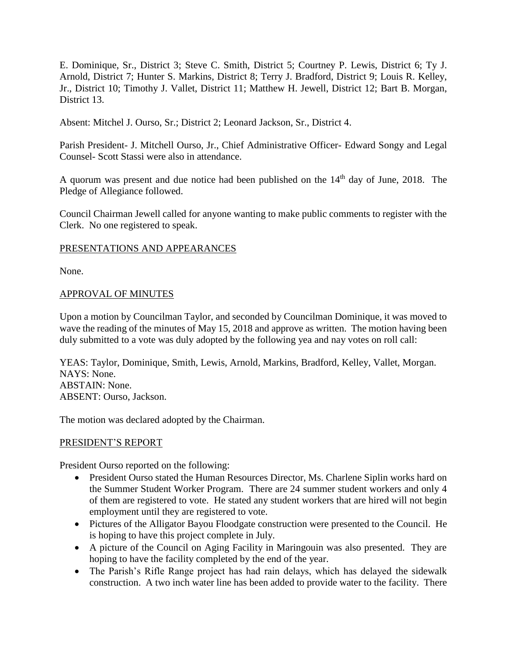E. Dominique, Sr., District 3; Steve C. Smith, District 5; Courtney P. Lewis, District 6; Ty J. Arnold, District 7; Hunter S. Markins, District 8; Terry J. Bradford, District 9; Louis R. Kelley, Jr., District 10; Timothy J. Vallet, District 11; Matthew H. Jewell, District 12; Bart B. Morgan, District 13.

Absent: Mitchel J. Ourso, Sr.; District 2; Leonard Jackson, Sr., District 4.

Parish President- J. Mitchell Ourso, Jr., Chief Administrative Officer- Edward Songy and Legal Counsel- Scott Stassi were also in attendance.

A quorum was present and due notice had been published on the  $14<sup>th</sup>$  day of June, 2018. The Pledge of Allegiance followed.

Council Chairman Jewell called for anyone wanting to make public comments to register with the Clerk. No one registered to speak.

## PRESENTATIONS AND APPEARANCES

None.

## APPROVAL OF MINUTES

Upon a motion by Councilman Taylor, and seconded by Councilman Dominique, it was moved to wave the reading of the minutes of May 15, 2018 and approve as written. The motion having been duly submitted to a vote was duly adopted by the following yea and nay votes on roll call:

YEAS: Taylor, Dominique, Smith, Lewis, Arnold, Markins, Bradford, Kelley, Vallet, Morgan. NAYS: None. ABSTAIN: None. ABSENT: Ourso, Jackson.

The motion was declared adopted by the Chairman.

### PRESIDENT'S REPORT

President Ourso reported on the following:

- President Ourso stated the Human Resources Director, Ms. Charlene Siplin works hard on the Summer Student Worker Program. There are 24 summer student workers and only 4 of them are registered to vote. He stated any student workers that are hired will not begin employment until they are registered to vote.
- Pictures of the Alligator Bayou Floodgate construction were presented to the Council. He is hoping to have this project complete in July.
- A picture of the Council on Aging Facility in Maringouin was also presented. They are hoping to have the facility completed by the end of the year.
- The Parish's Rifle Range project has had rain delays, which has delayed the sidewalk construction. A two inch water line has been added to provide water to the facility. There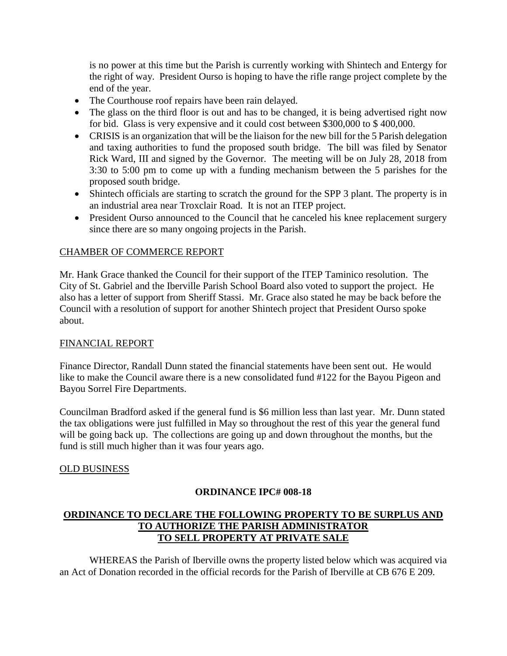is no power at this time but the Parish is currently working with Shintech and Entergy for the right of way. President Ourso is hoping to have the rifle range project complete by the end of the year.

- The Courthouse roof repairs have been rain delayed.
- The glass on the third floor is out and has to be changed, it is being advertised right now for bid. Glass is very expensive and it could cost between \$300,000 to \$ 400,000.
- CRISIS is an organization that will be the liaison for the new bill for the 5 Parish delegation and taxing authorities to fund the proposed south bridge. The bill was filed by Senator Rick Ward, III and signed by the Governor. The meeting will be on July 28, 2018 from 3:30 to 5:00 pm to come up with a funding mechanism between the 5 parishes for the proposed south bridge.
- Shintech officials are starting to scratch the ground for the SPP 3 plant. The property is in an industrial area near Troxclair Road. It is not an ITEP project.
- President Ourso announced to the Council that he canceled his knee replacement surgery since there are so many ongoing projects in the Parish.

## CHAMBER OF COMMERCE REPORT

Mr. Hank Grace thanked the Council for their support of the ITEP Taminico resolution. The City of St. Gabriel and the Iberville Parish School Board also voted to support the project. He also has a letter of support from Sheriff Stassi. Mr. Grace also stated he may be back before the Council with a resolution of support for another Shintech project that President Ourso spoke about.

### FINANCIAL REPORT

Finance Director, Randall Dunn stated the financial statements have been sent out. He would like to make the Council aware there is a new consolidated fund #122 for the Bayou Pigeon and Bayou Sorrel Fire Departments.

Councilman Bradford asked if the general fund is \$6 million less than last year. Mr. Dunn stated the tax obligations were just fulfilled in May so throughout the rest of this year the general fund will be going back up. The collections are going up and down throughout the months, but the fund is still much higher than it was four years ago.

# OLD BUSINESS

# **ORDINANCE IPC# 008-18**

# **ORDINANCE TO DECLARE THE FOLLOWING PROPERTY TO BE SURPLUS AND TO AUTHORIZE THE PARISH ADMINISTRATOR TO SELL PROPERTY AT PRIVATE SALE**

WHEREAS the Parish of Iberville owns the property listed below which was acquired via an Act of Donation recorded in the official records for the Parish of Iberville at CB 676 E 209.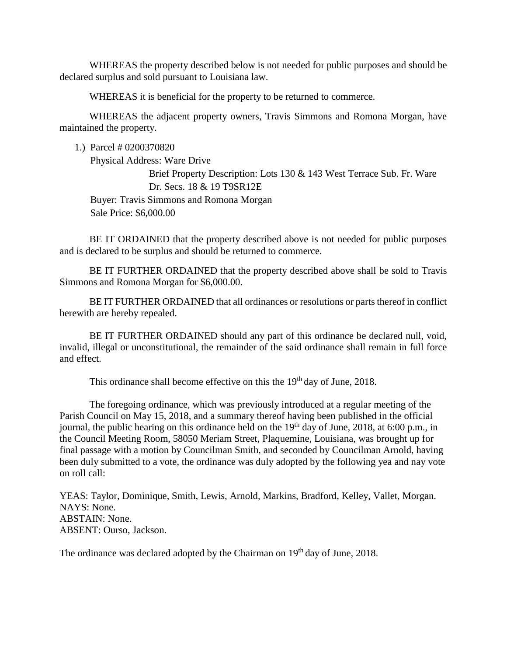WHEREAS the property described below is not needed for public purposes and should be declared surplus and sold pursuant to Louisiana law.

WHEREAS it is beneficial for the property to be returned to commerce.

WHEREAS the adjacent property owners, Travis Simmons and Romona Morgan, have maintained the property.

1.) Parcel # 0200370820

Physical Address: Ware Drive Brief Property Description: Lots 130 & 143 West Terrace Sub. Fr. Ware Dr. Secs. 18 & 19 T9SR12E Buyer: Travis Simmons and Romona Morgan Sale Price: \$6,000.00

BE IT ORDAINED that the property described above is not needed for public purposes and is declared to be surplus and should be returned to commerce.

BE IT FURTHER ORDAINED that the property described above shall be sold to Travis Simmons and Romona Morgan for \$6,000.00.

BE IT FURTHER ORDAINED that all ordinances or resolutions or parts thereof in conflict herewith are hereby repealed.

BE IT FURTHER ORDAINED should any part of this ordinance be declared null, void, invalid, illegal or unconstitutional, the remainder of the said ordinance shall remain in full force and effect.

This ordinance shall become effective on this the 19<sup>th</sup> day of June, 2018.

The foregoing ordinance, which was previously introduced at a regular meeting of the Parish Council on May 15, 2018, and a summary thereof having been published in the official journal, the public hearing on this ordinance held on the 19<sup>th</sup> day of June, 2018, at 6:00 p.m., in the Council Meeting Room, 58050 Meriam Street, Plaquemine, Louisiana, was brought up for final passage with a motion by Councilman Smith, and seconded by Councilman Arnold, having been duly submitted to a vote, the ordinance was duly adopted by the following yea and nay vote on roll call:

YEAS: Taylor, Dominique, Smith, Lewis, Arnold, Markins, Bradford, Kelley, Vallet, Morgan. NAYS: None. ABSTAIN: None. ABSENT: Ourso, Jackson.

The ordinance was declared adopted by the Chairman on 19<sup>th</sup> day of June, 2018.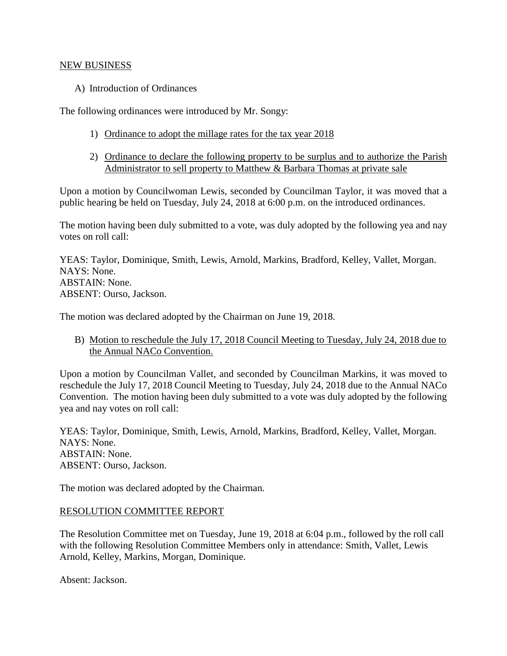#### NEW BUSINESS

A) Introduction of Ordinances

The following ordinances were introduced by Mr. Songy:

- 1) Ordinance to adopt the millage rates for the tax year 2018
- 2) Ordinance to declare the following property to be surplus and to authorize the Parish Administrator to sell property to Matthew & Barbara Thomas at private sale

Upon a motion by Councilwoman Lewis, seconded by Councilman Taylor, it was moved that a public hearing be held on Tuesday, July 24, 2018 at 6:00 p.m. on the introduced ordinances.

The motion having been duly submitted to a vote, was duly adopted by the following yea and nay votes on roll call:

YEAS: Taylor, Dominique, Smith, Lewis, Arnold, Markins, Bradford, Kelley, Vallet, Morgan. NAYS: None. ABSTAIN: None. ABSENT: Ourso, Jackson.

The motion was declared adopted by the Chairman on June 19, 2018.

B) Motion to reschedule the July 17, 2018 Council Meeting to Tuesday, July 24, 2018 due to the Annual NACo Convention.

Upon a motion by Councilman Vallet, and seconded by Councilman Markins, it was moved to reschedule the July 17, 2018 Council Meeting to Tuesday, July 24, 2018 due to the Annual NACo Convention. The motion having been duly submitted to a vote was duly adopted by the following yea and nay votes on roll call:

YEAS: Taylor, Dominique, Smith, Lewis, Arnold, Markins, Bradford, Kelley, Vallet, Morgan. NAYS: None. ABSTAIN: None. ABSENT: Ourso, Jackson.

The motion was declared adopted by the Chairman.

# RESOLUTION COMMITTEE REPORT

The Resolution Committee met on Tuesday, June 19, 2018 at 6:04 p.m., followed by the roll call with the following Resolution Committee Members only in attendance: Smith, Vallet, Lewis Arnold, Kelley, Markins, Morgan, Dominique.

Absent: Jackson.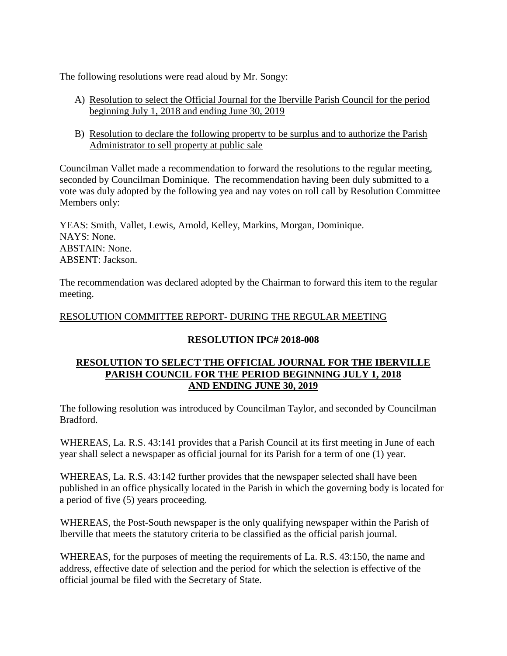The following resolutions were read aloud by Mr. Songy:

- A) Resolution to select the Official Journal for the Iberville Parish Council for the period beginning July 1, 2018 and ending June 30, 2019
- B) Resolution to declare the following property to be surplus and to authorize the Parish Administrator to sell property at public sale

Councilman Vallet made a recommendation to forward the resolutions to the regular meeting, seconded by Councilman Dominique. The recommendation having been duly submitted to a vote was duly adopted by the following yea and nay votes on roll call by Resolution Committee Members only:

YEAS: Smith, Vallet, Lewis, Arnold, Kelley, Markins, Morgan, Dominique. NAYS: None. ABSTAIN: None. ABSENT: Jackson.

The recommendation was declared adopted by the Chairman to forward this item to the regular meeting.

# RESOLUTION COMMITTEE REPORT- DURING THE REGULAR MEETING

# **RESOLUTION IPC# 2018-008**

# **RESOLUTION TO SELECT THE OFFICIAL JOURNAL FOR THE IBERVILLE PARISH COUNCIL FOR THE PERIOD BEGINNING JULY 1, 2018 AND ENDING JUNE 30, 2019**

The following resolution was introduced by Councilman Taylor, and seconded by Councilman Bradford.

WHEREAS, La. R.S. 43:141 provides that a Parish Council at its first meeting in June of each year shall select a newspaper as official journal for its Parish for a term of one (1) year.

WHEREAS, La. R.S. 43:142 further provides that the newspaper selected shall have been published in an office physically located in the Parish in which the governing body is located for a period of five (5) years proceeding.

WHEREAS, the Post-South newspaper is the only qualifying newspaper within the Parish of Iberville that meets the statutory criteria to be classified as the official parish journal.

WHEREAS, for the purposes of meeting the requirements of La. R.S. 43:150, the name and address, effective date of selection and the period for which the selection is effective of the official journal be filed with the Secretary of State.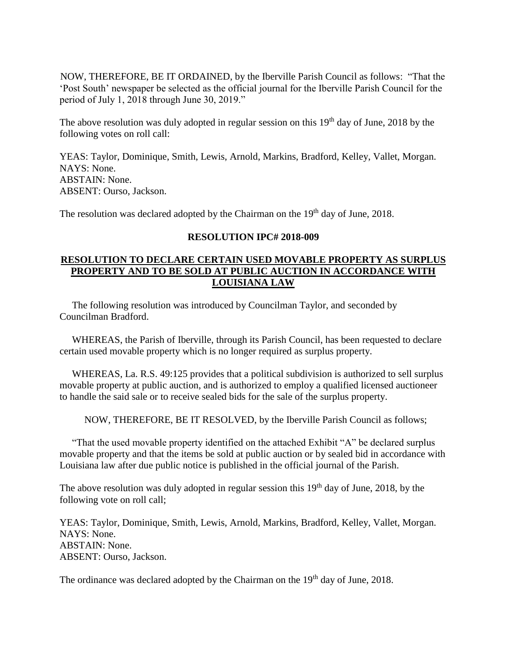NOW, THEREFORE, BE IT ORDAINED, by the Iberville Parish Council as follows: "That the 'Post South' newspaper be selected as the official journal for the Iberville Parish Council for the period of July 1, 2018 through June 30, 2019."

The above resolution was duly adopted in regular session on this  $19<sup>th</sup>$  day of June, 2018 by the following votes on roll call:

YEAS: Taylor, Dominique, Smith, Lewis, Arnold, Markins, Bradford, Kelley, Vallet, Morgan. NAYS: None. ABSTAIN: None. ABSENT: Ourso, Jackson.

The resolution was declared adopted by the Chairman on the 19<sup>th</sup> day of June, 2018.

### **RESOLUTION IPC# 2018-009**

## **RESOLUTION TO DECLARE CERTAIN USED MOVABLE PROPERTY AS SURPLUS PROPERTY AND TO BE SOLD AT PUBLIC AUCTION IN ACCORDANCE WITH LOUISIANA LAW**

 The following resolution was introduced by Councilman Taylor, and seconded by Councilman Bradford.

 WHEREAS, the Parish of Iberville, through its Parish Council, has been requested to declare certain used movable property which is no longer required as surplus property.

 WHEREAS, La. R.S. 49:125 provides that a political subdivision is authorized to sell surplus movable property at public auction, and is authorized to employ a qualified licensed auctioneer to handle the said sale or to receive sealed bids for the sale of the surplus property.

NOW, THEREFORE, BE IT RESOLVED, by the Iberville Parish Council as follows;

 "That the used movable property identified on the attached Exhibit "A" be declared surplus movable property and that the items be sold at public auction or by sealed bid in accordance with Louisiana law after due public notice is published in the official journal of the Parish.

The above resolution was duly adopted in regular session this  $19<sup>th</sup>$  day of June, 2018, by the following vote on roll call;

YEAS: Taylor, Dominique, Smith, Lewis, Arnold, Markins, Bradford, Kelley, Vallet, Morgan. NAYS: None. ABSTAIN: None. ABSENT: Ourso, Jackson.

The ordinance was declared adopted by the Chairman on the 19<sup>th</sup> day of June, 2018.